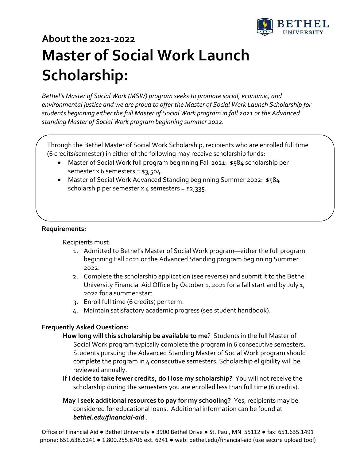

# **About the 2021-2022 Master of Social Work Launch Scholarship:**

*Bethel's Master of Social Work (MSW) program seeks to promote social, economic, and environmental justice and we are proud to offer the Master of Social Work Launch Scholarship for students beginning either the full Master of Social Work program in fall 2021 or the Advanced standing Master of Social Work program beginning summer 2022.*

Through the Bethel Master of Social Work Scholarship, recipients who are enrolled full time (6 credits/semester) in either of the following may receive scholarship funds:

- Master of Social Work full program beginning Fall 2021: \$584 scholarship per semester  $x$  6 semesters =  $$3,504$ .
- Master of Social Work Advanced Standing beginning Summer 2022: \$584 scholarship per semester x  $4$  semesters = \$2,335.

### **Requirements:**

Recipients must:

- 1. Admitted to Bethel's Master of Social Work program—either the full program beginning Fall 2021 or the Advanced Standing program beginning Summer 2022.
- 2. Complete the scholarship application (see reverse) and submit it to the Bethel University Financial Aid Office by October 1, 2021 for a fall start and by July 1, 2022 for a summer start.
- 3. Enroll full time (6 credits) per term.
- 4. Maintain satisfactory academic progress (see student handbook).

#### **Frequently Asked Questions:**

- **How long will this scholarship be available to me**? Students in the full Master of Social Work program typically complete the program in 6 consecutive semesters. Students pursuing the Advanced Standing Master of Social Work program should complete the program in 4 consecutive semesters. Scholarship eligibility will be reviewed annually.
- **If I decide to take fewer credits, do I lose my scholarship?** You will not receive the scholarship during the semesters you are enrolled less than full time (6 credits).
- **May I seek additional resources to pay for my schooling?** Yes, recipients may be considered for educational loans. Additional information can be found at *[bethel.edu/financial-aid](http://www.bethel.edu/financial-aid/)* .